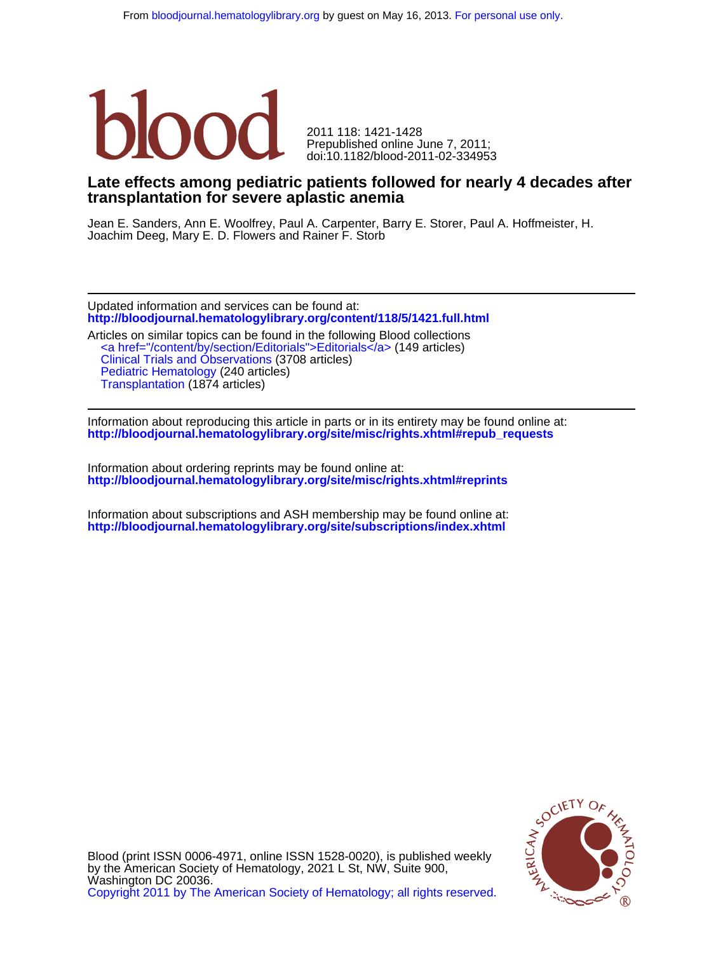

doi:10.1182/blood-2011-02-334953 Prepublished online June 7, 2011; 2011 118: 1421-1428

# **transplantation for severe aplastic anemia Late effects among pediatric patients followed for nearly 4 decades after**

Joachim Deeg, Mary E. D. Flowers and Rainer F. Storb Jean E. Sanders, Ann E. Woolfrey, Paul A. Carpenter, Barry E. Storer, Paul A. Hoffmeister, H.

**<http://bloodjournal.hematologylibrary.org/content/118/5/1421.full.html>** Updated information and services can be found at:

Pediatric Hematology (240 articles)<br>[Transplantation](http://bloodjournal.hematologylibrary.org/cgi/collection/transplantation) [\(1874](http://bloodjournal.hematologylibrary.org/cgi/collection/pediatric_hematology) articles) [Clinical Trials and Observations](http://bloodjournal.hematologylibrary.org/cgi/collection/clinical_trials_and_observations) (3708 articles) [<a href="/content/by/section/Editorials">Editorials</a>](http://bloodjournal.hematologylibrary.org/cgi/collection/signpost_editorials) (149 articles) Articles on similar topics can be found in the following Blood collections

**[http://bloodjournal.hematologylibrary.org/site/misc/rights.xhtml#repub\\_requests](http://bloodjournal.hematologylibrary.org/site/misc/rights.xhtml#repub_requests)** Information about reproducing this article in parts or in its entirety may be found online at:

**<http://bloodjournal.hematologylibrary.org/site/misc/rights.xhtml#reprints>** Information about ordering reprints may be found online at:

**<http://bloodjournal.hematologylibrary.org/site/subscriptions/index.xhtml>** Information about subscriptions and ASH membership may be found online at:



[Copyright 2011 by The American Society of Hematology; all rights reserved.](http://bloodjournal.hematologylibrary.org/subscriptions/ToS.dtl) Washington DC 20036. by the American Society of Hematology, 2021 L St, NW, Suite 900, Blood (print ISSN 0006-4971, online ISSN 1528-0020), is published weekly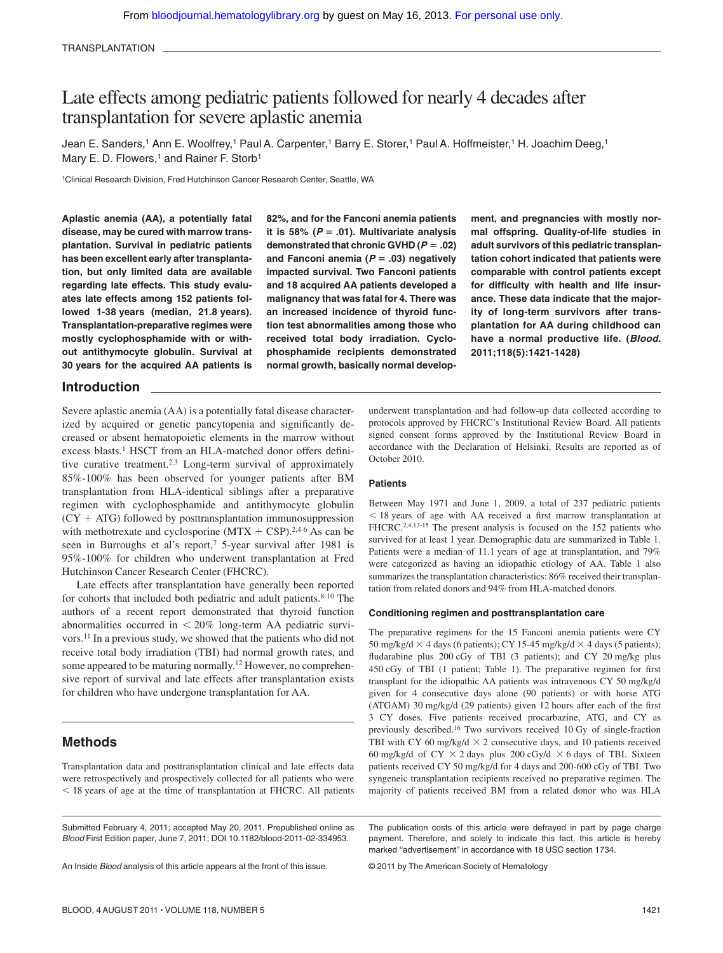# Late effects among pediatric patients followed for nearly 4 decades after transplantation for severe aplastic anemia

Jean E. Sanders,<sup>1</sup> Ann E. Woolfrey,<sup>1</sup> Paul A. Carpenter,<sup>1</sup> Barry E. Storer,<sup>1</sup> Paul A. Hoffmeister,<sup>1</sup> H. Joachim Deeg,<sup>1</sup> Mary E. D. Flowers,<sup>1</sup> and Rainer F. Storb<sup>1</sup>

1Clinical Research Division, Fred Hutchinson Cancer Research Center, Seattle, WA

**Aplastic anemia (AA), a potentially fatal disease, may be cured with marrow transplantation. Survival in pediatric patients has been excellent early after transplantation, but only limited data are available regarding late effects. This study evaluates late effects among 152 patients followed 1-38 years (median, 21.8 years). Transplantation-preparative regimes were mostly cyclophosphamide with or without antithymocyte globulin. Survival at 30 years for the acquired AA patients is**

**82%, and for the Fanconi anemia patients** it is 58%  $(P = .01)$ . Multivariate analysis demonstrated that chronic GVHD  $(P = .02)$ **and Fanconi anemia (***P* **.03) negatively impacted survival. Two Fanconi patients and 18 acquired AA patients developed a malignancy that was fatal for 4. There was an increased incidence of thyroid function test abnormalities among those who received total body irradiation. Cyclophosphamide recipients demonstrated normal growth, basically normal develop-** **ment, and pregnancies with mostly normal offspring. Quality-of-life studies in adult survivors of this pediatric transplantation cohort indicated that patients were comparable with control patients except for difficulty with health and life insurance. These data indicate that the majority of long-term survivors after transplantation for AA during childhood can have a normal productive life. (***Blood***. 2011;118(5):1421-1428)**

## **Introduction**

Severe aplastic anemia (AA) is a potentially fatal disease characterized by acquired or genetic pancytopenia and significantly decreased or absent hematopoietic elements in the marrow without excess blasts.<sup>1</sup> HSCT from an HLA-matched donor offers definitive curative treatment.2,3 Long-term survival of approximately 85%-100% has been observed for younger patients after BM transplantation from HLA-identical siblings after a preparative regimen with cyclophosphamide and antithymocyte globulin  $(CY + ATG)$  followed by posttransplantation immunosuppression with methotrexate and cyclosporine  $(MTX + CSP).^{2,4-6}$  As can be seen in Burroughs et al's report,<sup>7</sup> 5-year survival after 1981 is 95%-100% for children who underwent transplantation at Fred Hutchinson Cancer Research Center (FHCRC).

Late effects after transplantation have generally been reported for cohorts that included both pediatric and adult patients.<sup>8-10</sup> The authors of a recent report demonstrated that thyroid function abnormalities occurred in  $\leq 20\%$  long-term AA pediatric survivors.11 In a previous study, we showed that the patients who did not receive total body irradiation (TBI) had normal growth rates, and some appeared to be maturing normally.12 However, no comprehensive report of survival and late effects after transplantation exists for children who have undergone transplantation for AA.

# **Methods**

Transplantation data and posttransplantation clinical and late effects data were retrospectively and prospectively collected for all patients who were - 18 years of age at the time of transplantation at FHCRC. All patients

Submitted February 4, 2011; accepted May 20, 2011. Prepublished online as *Blood* First Edition paper, June 7, 2011; DOI 10.1182/blood-2011-02-334953.

An Inside *Blood* analysis of this article appears at the front of this issue.

underwent transplantation and had follow-up data collected according to protocols approved by FHCRC's Institutional Review Board. All patients signed consent forms approved by the Institutional Review Board in accordance with the Declaration of Helsinki. Results are reported as of October 2010.

#### **Patients**

Between May 1971 and June 1, 2009, a total of 237 pediatric patients - 18 years of age with AA received a first marrow transplantation at FHCRC.<sup>2,4,13-15</sup> The present analysis is focused on the 152 patients who survived for at least 1 year. Demographic data are summarized in Table 1. Patients were a median of 11.1 years of age at transplantation, and 79% were categorized as having an idiopathic etiology of AA. Table 1 also summarizes the transplantation characteristics: 86% received their transplantation from related donors and 94% from HLA-matched donors.

#### **Conditioning regimen and posttransplantation care**

The preparative regimens for the 15 Fanconi anemia patients were CY 50 mg/kg/d  $\times$  4 days (6 patients); CY 15-45 mg/kg/d  $\times$  4 days (5 patients); fludarabine plus 200 cGy of TBI (3 patients); and CY 20 mg/kg plus 450 cGy of TBI (1 patient; Table 1). The preparative regimen for first transplant for the idiopathic AA patients was intravenous CY 50 mg/kg/d given for 4 consecutive days alone (90 patients) or with horse ATG (ATGAM) 30 mg/kg/d (29 patients) given 12 hours after each of the first 3 CY doses. Five patients received procarbazine, ATG, and CY as previously described.16 Two survivors received 10 Gy of single-fraction TBI with CY 60 mg/kg/d  $\times$  2 consecutive days, and 10 patients received 60 mg/kg/d of CY  $\times$  2 days plus 200 cGy/d  $\times$  6 days of TBI. Sixteen patients received CY 50 mg/kg/d for 4 days and 200-600 cGy of TBI. Two syngeneic transplantation recipients received no preparative regimen. The majority of patients received BM from a related donor who was HLA

The publication costs of this article were defrayed in part by page charge payment. Therefore, and solely to indicate this fact, this article is hereby marked ''advertisement'' in accordance with 18 USC section 1734.

© 2011 by The American Society of Hematology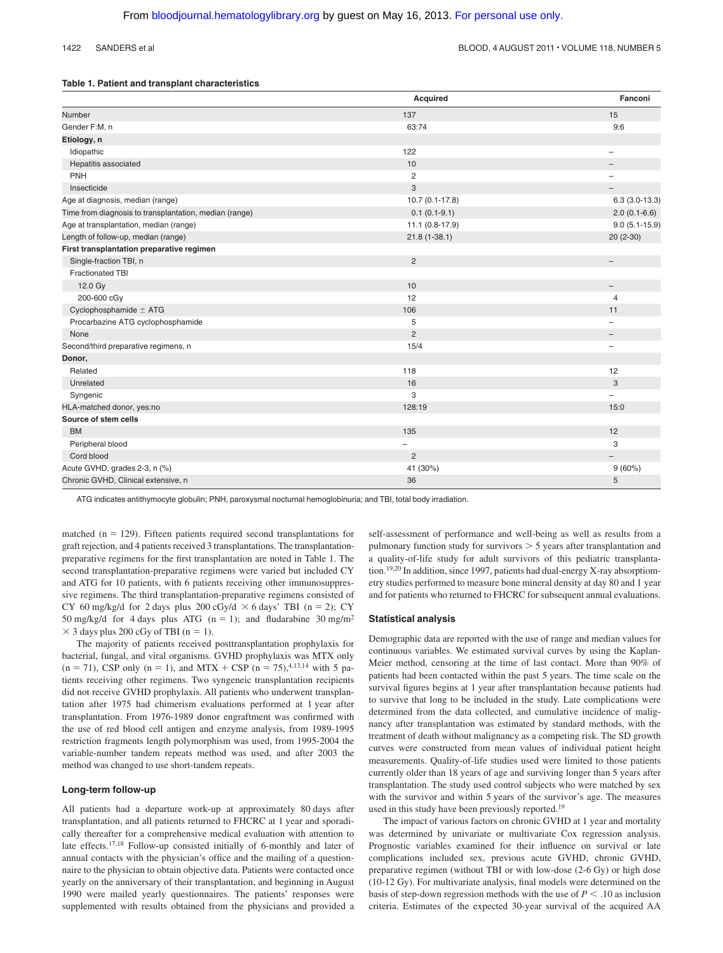#### **Table 1. Patient and transplant characteristics**

|                                                        | Acquired         | Fanconi                  |
|--------------------------------------------------------|------------------|--------------------------|
| Number                                                 | 137              | 15                       |
| Gender F:M, n                                          | 63:74            | 9:6                      |
| Etiology, n                                            |                  |                          |
| Idiopathic                                             | 122              | $\qquad \qquad -$        |
| Hepatitis associated                                   | 10               | -                        |
| PNH                                                    | $\overline{c}$   | $\overline{\phantom{0}}$ |
| Insecticide                                            | 3                | $\qquad \qquad -$        |
| Age at diagnosis, median (range)                       | $10.7(0.1-17.8)$ | $6.3(3.0-13.3)$          |
| Time from diagnosis to transplantation, median (range) | $0.1(0.1-9.1)$   | $2.0(0.1-6.6)$           |
| Age at transplantation, median (range)                 | $11.1(0.8-17.9)$ | $9.0(5.1 - 15.9)$        |
| Length of follow-up, median (range)                    | $21.8(1 - 38.1)$ | $20(2-30)$               |
| First transplantation preparative regimen              |                  |                          |
| Single-fraction TBI, n                                 | $\overline{2}$   | $\qquad \qquad -$        |
| <b>Fractionated TBI</b>                                |                  |                          |
| 12.0 Gy                                                | 10               | $\qquad \qquad -$        |
| 200-600 cGy                                            | 12               | 4                        |
| Cyclophosphamide $\pm$ ATG                             | 106              | 11                       |
| Procarbazine ATG cyclophosphamide                      | 5                | $\overline{\phantom{0}}$ |
| None                                                   | 2                | $\overline{\phantom{0}}$ |
| Second/third preparative regimens, n                   | 15/4             | $\overline{\phantom{0}}$ |
| Donor,                                                 |                  |                          |
| Related                                                | 118              | 12                       |
| Unrelated                                              | 16               | 3                        |
| Syngenic                                               | 3                | -                        |
| HLA-matched donor, yes:no                              | 128:19           | 15:0                     |
| Source of stem cells                                   |                  |                          |
| <b>BM</b>                                              | 135              | 12                       |
| Peripheral blood                                       | -                | 3                        |
| Cord blood                                             | $\overline{2}$   | $\overline{\phantom{0}}$ |
| Acute GVHD, grades 2-3, n (%)                          | 41 (30%)         | 9(60%)                   |
| Chronic GVHD, Clinical extensive, n                    | 36               | 5                        |

ATG indicates antithymocyte globulin; PNH, paroxysmal nocturnal hemoglobinuria; and TBI, total body irradiation.

matched ( $n = 129$ ). Fifteen patients required second transplantations for graft rejection, and 4 patients received 3 transplantations. The transplantationpreparative regimens for the first transplantation are noted in Table 1. The second transplantation-preparative regimens were varied but included CY and ATG for 10 patients, with 6 patients receiving other immunosuppressive regimens. The third transplantation-preparative regimens consisted of CY 60 mg/kg/d for 2 days plus 200 cGy/d  $\times$  6 days' TBI (n = 2); CY 50 mg/kg/d for 4 days plus ATG ( $n = 1$ ); and fludarabine 30 mg/m<sup>2</sup>  $\times$  3 days plus 200 cGy of TBI (n = 1).

The majority of patients received posttransplantation prophylaxis for bacterial, fungal, and viral organisms. GVHD prophylaxis was MTX only  $(n = 71)$ , CSP only  $(n = 1)$ , and MTX + CSP  $(n = 75)$ , 4,13,14 with 5 patients receiving other regimens. Two syngeneic transplantation recipients did not receive GVHD prophylaxis. All patients who underwent transplantation after 1975 had chimerism evaluations performed at 1 year after transplantation. From 1976-1989 donor engraftment was confirmed with the use of red blood cell antigen and enzyme analysis, from 1989-1995 restriction fragments length polymorphism was used, from 1995-2004 the variable-number tandem repeats method was used, and after 2003 the method was changed to use short-tandem repeats.

#### **Long-term follow-up**

All patients had a departure work-up at approximately 80 days after transplantation, and all patients returned to FHCRC at 1 year and sporadically thereafter for a comprehensive medical evaluation with attention to late effects.17,18 Follow-up consisted initially of 6-monthly and later of annual contacts with the physician's office and the mailing of a questionnaire to the physician to obtain objective data. Patients were contacted once yearly on the anniversary of their transplantation, and beginning in August 1990 were mailed yearly questionnaires. The patients' responses were supplemented with results obtained from the physicians and provided a

self-assessment of performance and well-being as well as results from a pulmonary function study for survivors  $> 5$  years after transplantation and a quality-of-life study for adult survivors of this pediatric transplantation.19,20 In addition, since 1997, patients had dual-energy X-ray absorptiometry studies performed to measure bone mineral density at day 80 and 1 year and for patients who returned to FHCRC for subsequent annual evaluations.

#### **Statistical analysis**

Demographic data are reported with the use of range and median values for continuous variables. We estimated survival curves by using the Kaplan-Meier method, censoring at the time of last contact. More than 90% of patients had been contacted within the past 5 years. The time scale on the survival figures begins at 1 year after transplantation because patients had to survive that long to be included in the study. Late complications were determined from the data collected, and cumulative incidence of malignancy after transplantation was estimated by standard methods, with the treatment of death without malignancy as a competing risk. The SD growth curves were constructed from mean values of individual patient height measurements. Quality-of-life studies used were limited to those patients currently older than 18 years of age and surviving longer than 5 years after transplantation. The study used control subjects who were matched by sex with the survivor and within 5 years of the survivor's age. The measures used in this study have been previously reported.<sup>19</sup>

The impact of various factors on chronic GVHD at 1 year and mortality was determined by univariate or multivariate Cox regression analysis. Prognostic variables examined for their influence on survival or late complications included sex, previous acute GVHD, chronic GVHD, preparative regimen (without TBI or with low-dose (2-6 Gy) or high dose (10-12 Gy). For multivariate analysis, final models were determined on the basis of step-down regression methods with the use of  $P < 0.10$  as inclusion criteria. Estimates of the expected 30-year survival of the acquired AA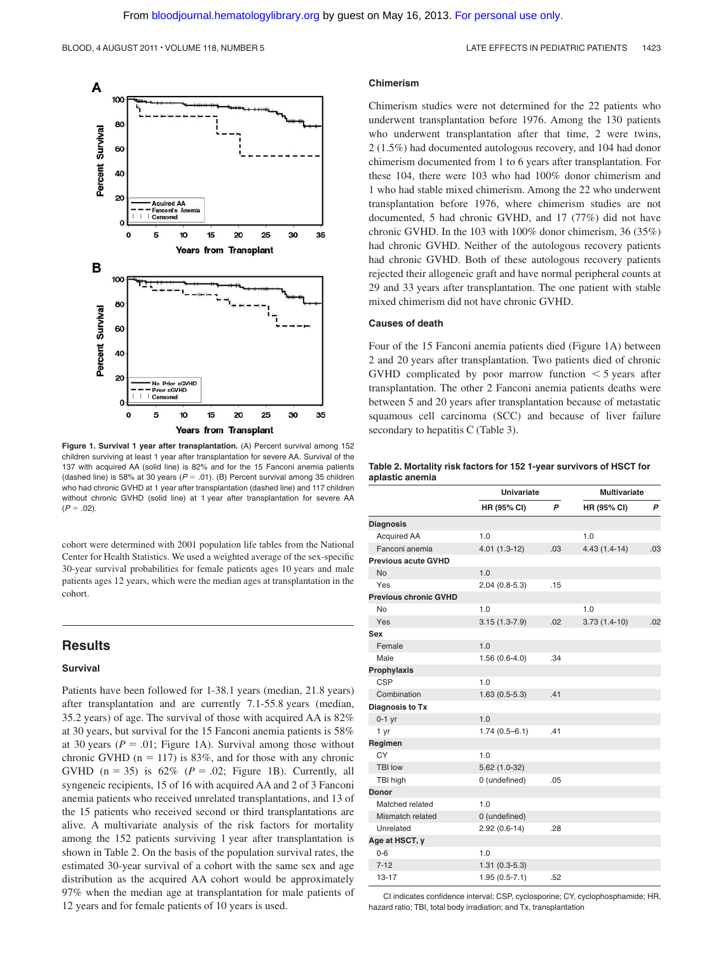

**Figure 1. Survival 1 year after transplantation.** (A) Percent survival among 152 children surviving at least 1 year after transplantation for severe AA. Survival of the 137 with acquired AA (solid line) is 82% and for the 15 Fanconi anemia patients (dashed line) is 58% at 30 years  $(P = .01)$ . (B) Percent survival among 35 children who had chronic GVHD at 1 year after transplantation (dashed line) and 117 children without chronic GVHD (solid line) at 1 year after transplantation for severe AA  $(P = .02)$ .

cohort were determined with 2001 population life tables from the National Center for Health Statistics. We used a weighted average of the sex-specific 30-year survival probabilities for female patients ages 10 years and male patients ages 12 years, which were the median ages at transplantation in the cohort.

# **Results**

#### **Survival**

Patients have been followed for 1-38.1 years (median, 21.8 years) after transplantation and are currently 7.1-55.8 years (median, 35.2 years) of age. The survival of those with acquired AA is 82% at 30 years, but survival for the 15 Fanconi anemia patients is 58% at 30 years ( $P = .01$ ; Figure 1A). Survival among those without chronic GVHD ( $n = 117$ ) is 83%, and for those with any chronic GVHD  $(n = 35)$  is  $62\%$   $(P = .02;$  Figure 1B). Currently, all syngeneic recipients, 15 of 16 with acquired AA and 2 of 3 Fanconi anemia patients who received unrelated transplantations, and 13 of the 15 patients who received second or third transplantations are alive. A multivariate analysis of the risk factors for mortality among the 152 patients surviving 1 year after transplantation is shown in Table 2. On the basis of the population survival rates, the estimated 30-year survival of a cohort with the same sex and age distribution as the acquired AA cohort would be approximately 97% when the median age at transplantation for male patients of 12 years and for female patients of 10 years is used.

#### **Chimerism**

Chimerism studies were not determined for the 22 patients who underwent transplantation before 1976. Among the 130 patients who underwent transplantation after that time, 2 were twins, 2 (1.5%) had documented autologous recovery, and 104 had donor chimerism documented from 1 to 6 years after transplantation. For these 104, there were 103 who had 100% donor chimerism and 1 who had stable mixed chimerism. Among the 22 who underwent transplantation before 1976, where chimerism studies are not documented, 5 had chronic GVHD, and 17 (77%) did not have chronic GVHD. In the 103 with 100% donor chimerism, 36 (35%) had chronic GVHD. Neither of the autologous recovery patients had chronic GVHD. Both of these autologous recovery patients rejected their allogeneic graft and have normal peripheral counts at 29 and 33 years after transplantation. The one patient with stable mixed chimerism did not have chronic GVHD.

#### **Causes of death**

Four of the 15 Fanconi anemia patients died (Figure 1A) between 2 and 20 years after transplantation. Two patients died of chronic GVHD complicated by poor marrow function  $\leq 5$  years after transplantation. The other 2 Fanconi anemia patients deaths were between 5 and 20 years after transplantation because of metastatic squamous cell carcinoma (SCC) and because of liver failure secondary to hepatitis C (Table 3).

#### **Table 2. Mortality risk factors for 152 1-year survivors of HSCT for aplastic anemia**

|                              |                   | <b>Univariate</b> |                | <b>Multivariate</b> |  |
|------------------------------|-------------------|-------------------|----------------|---------------------|--|
|                              | HR (95% CI)       | P                 | HR (95% CI)    | P                   |  |
| <b>Diagnosis</b>             |                   |                   |                |                     |  |
| Acquired AA                  | 1.0               |                   | 1.0            |                     |  |
| Fanconi anemia               | $4.01(1.3-12)$    | .03               | $4.43(1.4-14)$ | .03                 |  |
| <b>Previous acute GVHD</b>   |                   |                   |                |                     |  |
| <b>No</b>                    | 1.0               |                   |                |                     |  |
| Yes                          | $2.04(0.8-5.3)$   | .15               |                |                     |  |
| <b>Previous chronic GVHD</b> |                   |                   |                |                     |  |
| <b>No</b>                    | 1.0               |                   | 1.0            |                     |  |
| Yes                          | $3.15(1.3-7.9)$   | .02               | $3.73(1.4-10)$ | .02                 |  |
| Sex                          |                   |                   |                |                     |  |
| Female                       | 1.0               |                   |                |                     |  |
| Male                         | $1.56(0.6-4.0)$   | .34               |                |                     |  |
| Prophylaxis                  |                   |                   |                |                     |  |
| CSP                          | 1.0               |                   |                |                     |  |
| Combination                  | $1.63(0.5-5.3)$   | .41               |                |                     |  |
| Diagnosis to Tx              |                   |                   |                |                     |  |
| $0-1$ yr                     | 1.0               |                   |                |                     |  |
| 1 yr                         | $1.74(0.5 - 6.1)$ | .41               |                |                     |  |
| Regimen                      |                   |                   |                |                     |  |
| CY                           | 1.0               |                   |                |                     |  |
| <b>TBI low</b>               | $5.62(1.0-32)$    |                   |                |                     |  |
| TBI high                     | 0 (undefined)     | .05               |                |                     |  |
| <b>Donor</b>                 |                   |                   |                |                     |  |
| Matched related              | 1.0               |                   |                |                     |  |
| Mismatch related             | 0 (undefined)     |                   |                |                     |  |
| Unrelated                    | $2.92(0.6-14)$    | .28               |                |                     |  |
| Age at HSCT, y               |                   |                   |                |                     |  |
| $0-6$                        | 1.0               |                   |                |                     |  |
| $7 - 12$                     | $1.31(0.3-5.3)$   |                   |                |                     |  |
| $13 - 17$                    | $1.95(0.5-7.1)$   | .52               |                |                     |  |

CI indicates confidence interval; CSP, cyclosporine; CY, cyclophosphamide; HR, hazard ratio; TBI, total body irradiation; and Tx, transplantation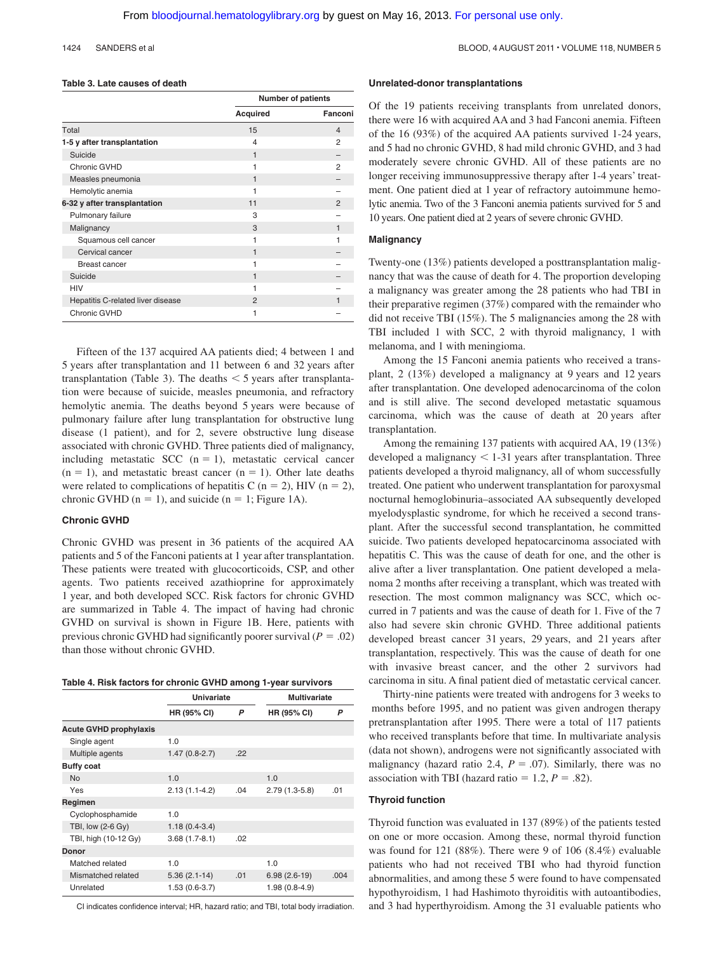#### **Table 3. Late causes of death**

|                                   | <b>Number of patients</b> |               |  |
|-----------------------------------|---------------------------|---------------|--|
|                                   | <b>Acquired</b>           | Fanconi       |  |
| Total                             | 15                        | 4             |  |
| 1-5 y after transplantation       | 4                         | 2             |  |
| Suicide                           | 1                         |               |  |
| Chronic GVHD                      |                           | 2             |  |
| Measles pneumonia                 | 1                         |               |  |
| Hemolytic anemia                  |                           |               |  |
| 6-32 y after transplantation      | 11                        | $\mathcal{P}$ |  |
| Pulmonary failure                 | 3                         |               |  |
| Malignancy                        | 3                         | 1             |  |
| Squamous cell cancer              |                           |               |  |
| Cervical cancer                   | 1                         |               |  |
| <b>Breast cancer</b>              |                           |               |  |
| Suicide                           | 1                         |               |  |
| <b>HIV</b>                        |                           |               |  |
| Hepatitis C-related liver disease | $\overline{2}$            |               |  |
| Chronic GVHD                      |                           |               |  |

Fifteen of the 137 acquired AA patients died; 4 between 1 and 5 years after transplantation and 11 between 6 and 32 years after transplantation (Table 3). The deaths  $\leq$  5 years after transplantation were because of suicide, measles pneumonia, and refractory hemolytic anemia. The deaths beyond 5 years were because of pulmonary failure after lung transplantation for obstructive lung disease (1 patient), and for 2, severe obstructive lung disease associated with chronic GVHD. Three patients died of malignancy, including metastatic SCC  $(n = 1)$ , metastatic cervical cancer  $(n = 1)$ , and metastatic breast cancer  $(n = 1)$ . Other late deaths were related to complications of hepatitis C ( $n = 2$ ), HIV ( $n = 2$ ), chronic GVHD ( $n = 1$ ), and suicide ( $n = 1$ ; Figure 1A).

#### **Chronic GVHD**

Chronic GVHD was present in 36 patients of the acquired AA patients and 5 of the Fanconi patients at 1 year after transplantation. These patients were treated with glucocorticoids, CSP, and other agents. Two patients received azathioprine for approximately 1 year, and both developed SCC. Risk factors for chronic GVHD are summarized in Table 4. The impact of having had chronic GVHD on survival is shown in Figure 1B. Here, patients with previous chronic GVHD had significantly poorer survival ( $P = .02$ ) than those without chronic GVHD.

| Table 4. Risk factors for chronic GVHD among 1-year survivors |  |  |  |
|---------------------------------------------------------------|--|--|--|
|---------------------------------------------------------------|--|--|--|

|                               | Univariate      |     | <b>Multivariate</b> |      |
|-------------------------------|-----------------|-----|---------------------|------|
|                               | HR (95% CI)     | P   | HR (95% CI)         | P    |
| <b>Acute GVHD prophylaxis</b> |                 |     |                     |      |
| Single agent                  | 1.0             |     |                     |      |
| Multiple agents               | $1.47(0.8-2.7)$ | .22 |                     |      |
| <b>Buffy coat</b>             |                 |     |                     |      |
| <b>No</b>                     | 1.0             |     | 1.0                 |      |
| Yes                           | $2.13(1.1-4.2)$ | .04 | $2.79(1.3-5.8)$     | .01  |
| Regimen                       |                 |     |                     |      |
| Cyclophosphamide              | 1.0             |     |                     |      |
| TBI, low (2-6 Gy)             | $1.18(0.4-3.4)$ |     |                     |      |
| TBI, high (10-12 Gy)          | $3.68(1.7-8.1)$ | .02 |                     |      |
| Donor                         |                 |     |                     |      |
| Matched related               | 1.0             |     | 1.0                 |      |
| Mismatched related            | $5.36(2.1-14)$  | .01 | $6.98(2.6-19)$      | .004 |
| Unrelated                     | $1.53(0.6-3.7)$ |     | $1.98(0.8-4.9)$     |      |

CI indicates confidence interval; HR, hazard ratio; and TBI, total body irradiation.

#### **Unrelated-donor transplantations**

Of the 19 patients receiving transplants from unrelated donors, there were 16 with acquired AA and 3 had Fanconi anemia. Fifteen of the 16 (93%) of the acquired AA patients survived 1-24 years, and 5 had no chronic GVHD, 8 had mild chronic GVHD, and 3 had moderately severe chronic GVHD. All of these patients are no longer receiving immunosuppressive therapy after 1-4 years' treatment. One patient died at 1 year of refractory autoimmune hemolytic anemia. Two of the 3 Fanconi anemia patients survived for 5 and 10 years. One patient died at 2 years of severe chronic GVHD.

### **Malignancy**

Twenty-one (13%) patients developed a posttransplantation malignancy that was the cause of death for 4. The proportion developing a malignancy was greater among the 28 patients who had TBI in their preparative regimen (37%) compared with the remainder who did not receive TBI (15%). The 5 malignancies among the 28 with TBI included 1 with SCC, 2 with thyroid malignancy, 1 with melanoma, and 1 with meningioma.

Among the 15 Fanconi anemia patients who received a transplant, 2 (13%) developed a malignancy at 9 years and 12 years after transplantation. One developed adenocarcinoma of the colon and is still alive. The second developed metastatic squamous carcinoma, which was the cause of death at 20 years after transplantation.

Among the remaining 137 patients with acquired AA, 19 (13%) developed a malignancy  $\leq$  1-31 years after transplantation. Three patients developed a thyroid malignancy, all of whom successfully treated. One patient who underwent transplantation for paroxysmal nocturnal hemoglobinuria–associated AA subsequently developed myelodysplastic syndrome, for which he received a second transplant. After the successful second transplantation, he committed suicide. Two patients developed hepatocarcinoma associated with hepatitis C. This was the cause of death for one, and the other is alive after a liver transplantation. One patient developed a melanoma 2 months after receiving a transplant, which was treated with resection. The most common malignancy was SCC, which occurred in 7 patients and was the cause of death for 1. Five of the 7 also had severe skin chronic GVHD. Three additional patients developed breast cancer 31 years, 29 years, and 21 years after transplantation, respectively. This was the cause of death for one with invasive breast cancer, and the other 2 survivors had carcinoma in situ. A final patient died of metastatic cervical cancer.

Thirty-nine patients were treated with androgens for 3 weeks to months before 1995, and no patient was given androgen therapy pretransplantation after 1995. There were a total of 117 patients who received transplants before that time. In multivariate analysis (data not shown), androgens were not significantly associated with malignancy (hazard ratio 2.4,  $P = .07$ ). Similarly, there was no association with TBI (hazard ratio  $= 1.2, P = .82$ ).

### **Thyroid function**

Thyroid function was evaluated in 137 (89%) of the patients tested on one or more occasion. Among these, normal thyroid function was found for 121 (88%). There were 9 of 106 (8.4%) evaluable patients who had not received TBI who had thyroid function abnormalities, and among these 5 were found to have compensated hypothyroidism, 1 had Hashimoto thyroiditis with autoantibodies, and 3 had hyperthyroidism. Among the 31 evaluable patients who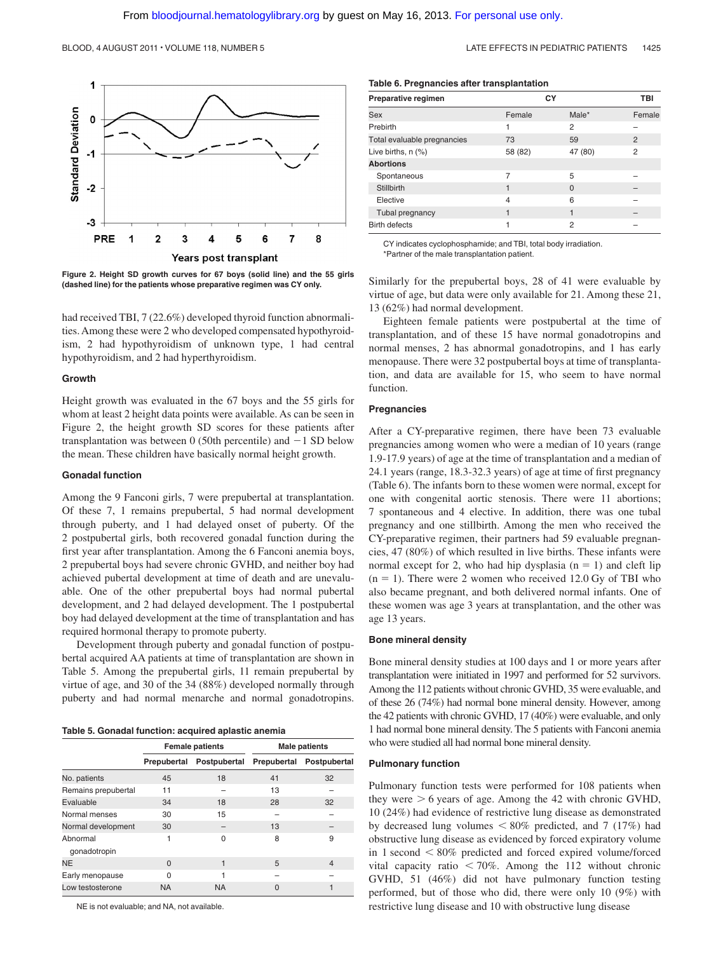

**Figure 2. Height SD growth curves for 67 boys (solid line) and the 55 girls (dashed line) for the patients whose preparative regimen was CY only.**

had received TBI, 7 (22.6%) developed thyroid function abnormalities. Among these were 2 who developed compensated hypothyroidism, 2 had hypothyroidism of unknown type, 1 had central hypothyroidism, and 2 had hyperthyroidism.

#### **Growth**

Height growth was evaluated in the 67 boys and the 55 girls for whom at least 2 height data points were available. As can be seen in Figure 2, the height growth SD scores for these patients after transplantation was between 0 (50th percentile) and  $-1$  SD below the mean. These children have basically normal height growth.

#### **Gonadal function**

Among the 9 Fanconi girls, 7 were prepubertal at transplantation. Of these 7, 1 remains prepubertal, 5 had normal development through puberty, and 1 had delayed onset of puberty. Of the 2 postpubertal girls, both recovered gonadal function during the first year after transplantation. Among the 6 Fanconi anemia boys, 2 prepubertal boys had severe chronic GVHD, and neither boy had achieved pubertal development at time of death and are unevaluable. One of the other prepubertal boys had normal pubertal development, and 2 had delayed development. The 1 postpubertal boy had delayed development at the time of transplantation and has required hormonal therapy to promote puberty.

Development through puberty and gonadal function of postpubertal acquired AA patients at time of transplantation are shown in Table 5. Among the prepubertal girls, 11 remain prepubertal by virtue of age, and 30 of the 34 (88%) developed normally through puberty and had normal menarche and normal gonadotropins.

**Table 5. Gonadal function: acquired aplastic anemia**

|                          | <b>Female patients</b> |              | <b>Male patients</b> |                |  |
|--------------------------|------------------------|--------------|----------------------|----------------|--|
|                          | Prepubertal            | Postpubertal | Prepubertal          | Postpubertal   |  |
| No. patients             | 45                     | 18           | 41                   | 32             |  |
| Remains prepubertal      | 11                     |              | 13                   |                |  |
| Evaluable                | 34                     | 18           | 28                   | 32             |  |
| Normal menses            | 30                     | 15           |                      |                |  |
| Normal development       | 30                     |              | 13                   |                |  |
| Abnormal<br>gonadotropin | 1                      | $\Omega$     | 8                    | 9              |  |
| <b>NE</b>                | $\Omega$               |              | 5                    | $\overline{4}$ |  |
| Early menopause          | 0                      |              |                      |                |  |
| Low testosterone         | <b>NA</b>              | <b>NA</b>    | $\Omega$             | 1              |  |

NE is not evaluable; and NA, not available.

|  |  | Table 6. Pregnancies after transplantation |
|--|--|--------------------------------------------|
|  |  |                                            |

| Preparative regimen         |         | СY             | TBI            |
|-----------------------------|---------|----------------|----------------|
| Sex                         | Female  | Male*          | Female         |
| Prebirth                    | 1       | $\overline{2}$ |                |
| Total evaluable pregnancies | 73      | 59             | $\overline{2}$ |
| Live births, $n$ $(\%)$     | 58 (82) | 47 (80)        | $\overline{2}$ |
| <b>Abortions</b>            |         |                |                |
| Spontaneous                 | 7       | 5              |                |
| Stillbirth                  | 1       | $\Omega$       |                |
| Elective                    | 4       | 6              |                |
| Tubal pregnancy             |         |                |                |
| <b>Birth defects</b>        |         | $\overline{2}$ |                |

CY indicates cyclophosphamide; and TBI, total body irradiation. \*Partner of the male transplantation patient.

Similarly for the prepubertal boys, 28 of 41 were evaluable by virtue of age, but data were only available for 21. Among these 21, 13 (62%) had normal development.

Eighteen female patients were postpubertal at the time of transplantation, and of these 15 have normal gonadotropins and normal menses, 2 has abnormal gonadotropins, and 1 has early menopause. There were 32 postpubertal boys at time of transplantation, and data are available for 15, who seem to have normal function.

#### **Pregnancies**

After a CY-preparative regimen, there have been 73 evaluable pregnancies among women who were a median of 10 years (range 1.9-17.9 years) of age at the time of transplantation and a median of 24.1 years (range, 18.3-32.3 years) of age at time of first pregnancy (Table 6). The infants born to these women were normal, except for one with congenital aortic stenosis. There were 11 abortions; 7 spontaneous and 4 elective. In addition, there was one tubal pregnancy and one stillbirth. Among the men who received the CY-preparative regimen, their partners had 59 evaluable pregnancies, 47 (80%) of which resulted in live births. These infants were normal except for 2, who had hip dysplasia  $(n = 1)$  and cleft lip  $(n = 1)$ . There were 2 women who received 12.0 Gy of TBI who also became pregnant, and both delivered normal infants. One of these women was age 3 years at transplantation, and the other was age 13 years.

#### **Bone mineral density**

Bone mineral density studies at 100 days and 1 or more years after transplantation were initiated in 1997 and performed for 52 survivors. Among the 112 patients without chronic GVHD, 35 were evaluable, and of these 26 (74%) had normal bone mineral density. However, among the 42 patients with chronic GVHD, 17 (40%) were evaluable, and only 1 had normal bone mineral density. The 5 patients with Fanconi anemia who were studied all had normal bone mineral density.

#### **Pulmonary function**

Pulmonary function tests were performed for 108 patients when they were  $> 6$  years of age. Among the 42 with chronic GVHD, 10 (24%) had evidence of restrictive lung disease as demonstrated by decreased lung volumes  $\leq 80\%$  predicted, and 7 (17%) had obstructive lung disease as evidenced by forced expiratory volume in 1 second  $\leq 80\%$  predicted and forced expired volume/forced vital capacity ratio  $\leq 70\%$ . Among the 112 without chronic GVHD, 51 (46%) did not have pulmonary function testing performed, but of those who did, there were only 10 (9%) with restrictive lung disease and 10 with obstructive lung disease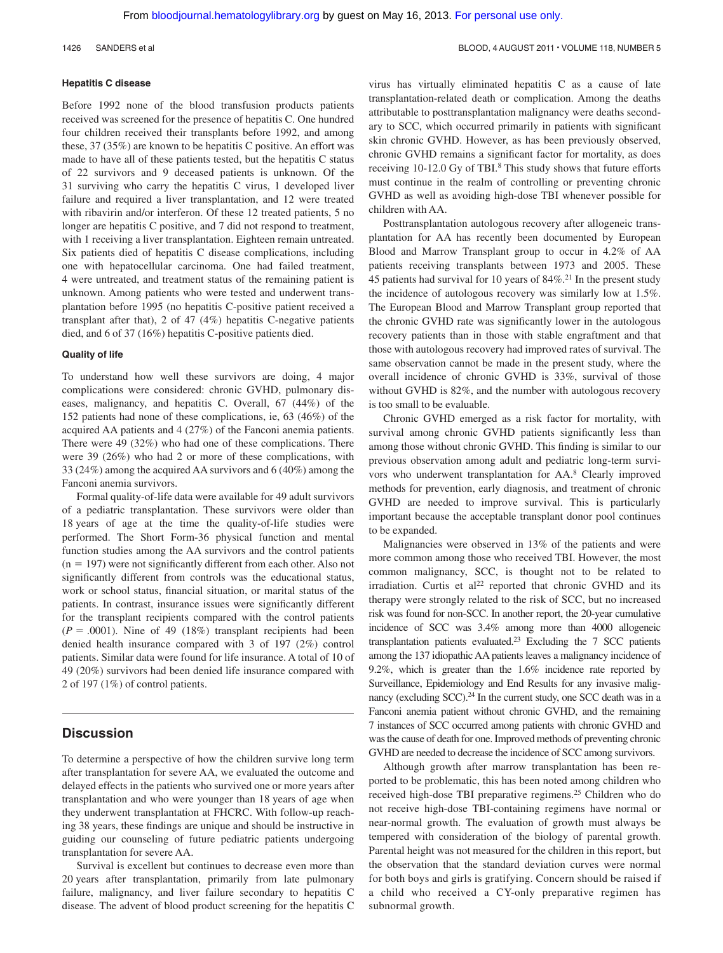#### **Hepatitis C disease**

Before 1992 none of the blood transfusion products patients received was screened for the presence of hepatitis C. One hundred four children received their transplants before 1992, and among these, 37 (35%) are known to be hepatitis C positive. An effort was made to have all of these patients tested, but the hepatitis C status of 22 survivors and 9 deceased patients is unknown. Of the 31 surviving who carry the hepatitis C virus, 1 developed liver failure and required a liver transplantation, and 12 were treated with ribavirin and/or interferon. Of these 12 treated patients, 5 no longer are hepatitis C positive, and 7 did not respond to treatment, with 1 receiving a liver transplantation. Eighteen remain untreated. Six patients died of hepatitis C disease complications, including one with hepatocellular carcinoma. One had failed treatment, 4 were untreated, and treatment status of the remaining patient is unknown. Among patients who were tested and underwent transplantation before 1995 (no hepatitis C-positive patient received a transplant after that), 2 of 47 (4%) hepatitis C-negative patients died, and 6 of 37 (16%) hepatitis C-positive patients died.

#### **Quality of life**

To understand how well these survivors are doing, 4 major complications were considered: chronic GVHD, pulmonary diseases, malignancy, and hepatitis C. Overall, 67 (44%) of the 152 patients had none of these complications, ie, 63 (46%) of the acquired AA patients and 4 (27%) of the Fanconi anemia patients. There were 49 (32%) who had one of these complications. There were 39 (26%) who had 2 or more of these complications, with 33 (24%) among the acquired AA survivors and 6 (40%) among the Fanconi anemia survivors.

Formal quality-of-life data were available for 49 adult survivors of a pediatric transplantation. These survivors were older than 18 years of age at the time the quality-of-life studies were performed. The Short Form-36 physical function and mental function studies among the AA survivors and the control patients  $(n = 197)$  were not significantly different from each other. Also not significantly different from controls was the educational status, work or school status, financial situation, or marital status of the patients. In contrast, insurance issues were significantly different for the transplant recipients compared with the control patients  $(P = .0001)$ . Nine of 49 (18%) transplant recipients had been denied health insurance compared with 3 of 197 (2%) control patients. Similar data were found for life insurance. A total of 10 of 49 (20%) survivors had been denied life insurance compared with 2 of 197 (1%) of control patients.

# **Discussion**

To determine a perspective of how the children survive long term after transplantation for severe AA, we evaluated the outcome and delayed effects in the patients who survived one or more years after transplantation and who were younger than 18 years of age when they underwent transplantation at FHCRC. With follow-up reaching 38 years, these findings are unique and should be instructive in guiding our counseling of future pediatric patients undergoing transplantation for severe AA.

Survival is excellent but continues to decrease even more than 20 years after transplantation, primarily from late pulmonary failure, malignancy, and liver failure secondary to hepatitis C disease. The advent of blood product screening for the hepatitis C

virus has virtually eliminated hepatitis C as a cause of late transplantation-related death or complication. Among the deaths attributable to posttransplantation malignancy were deaths secondary to SCC, which occurred primarily in patients with significant skin chronic GVHD. However, as has been previously observed, chronic GVHD remains a significant factor for mortality, as does receiving 10-12.0 Gy of TBI.<sup>8</sup> This study shows that future efforts must continue in the realm of controlling or preventing chronic GVHD as well as avoiding high-dose TBI whenever possible for children with AA.

Posttransplantation autologous recovery after allogeneic transplantation for AA has recently been documented by European Blood and Marrow Transplant group to occur in 4.2% of AA patients receiving transplants between 1973 and 2005. These 45 patients had survival for 10 years of  $84\%$ .<sup>21</sup> In the present study the incidence of autologous recovery was similarly low at 1.5%. The European Blood and Marrow Transplant group reported that the chronic GVHD rate was significantly lower in the autologous recovery patients than in those with stable engraftment and that those with autologous recovery had improved rates of survival. The same observation cannot be made in the present study, where the overall incidence of chronic GVHD is 33%, survival of those without GVHD is 82%, and the number with autologous recovery is too small to be evaluable.

Chronic GVHD emerged as a risk factor for mortality, with survival among chronic GVHD patients significantly less than among those without chronic GVHD. This finding is similar to our previous observation among adult and pediatric long-term survivors who underwent transplantation for AA.8 Clearly improved methods for prevention, early diagnosis, and treatment of chronic GVHD are needed to improve survival. This is particularly important because the acceptable transplant donor pool continues to be expanded.

Malignancies were observed in 13% of the patients and were more common among those who received TBI. However, the most common malignancy, SCC, is thought not to be related to irradiation. Curtis et al<sup>22</sup> reported that chronic GVHD and its therapy were strongly related to the risk of SCC, but no increased risk was found for non-SCC. In another report, the 20-year cumulative incidence of SCC was 3.4% among more than 4000 allogeneic transplantation patients evaluated.23 Excluding the 7 SCC patients among the 137 idiopathic AA patients leaves a malignancy incidence of 9.2%, which is greater than the 1.6% incidence rate reported by Surveillance, Epidemiology and End Results for any invasive malignancy (excluding SCC). $^{24}$  In the current study, one SCC death was in a Fanconi anemia patient without chronic GVHD, and the remaining 7 instances of SCC occurred among patients with chronic GVHD and was the cause of death for one. Improved methods of preventing chronic GVHD are needed to decrease the incidence of SCC among survivors.

Although growth after marrow transplantation has been reported to be problematic, this has been noted among children who received high-dose TBI preparative regimens.<sup>25</sup> Children who do not receive high-dose TBI-containing regimens have normal or near-normal growth. The evaluation of growth must always be tempered with consideration of the biology of parental growth. Parental height was not measured for the children in this report, but the observation that the standard deviation curves were normal for both boys and girls is gratifying. Concern should be raised if a child who received a CY-only preparative regimen has subnormal growth.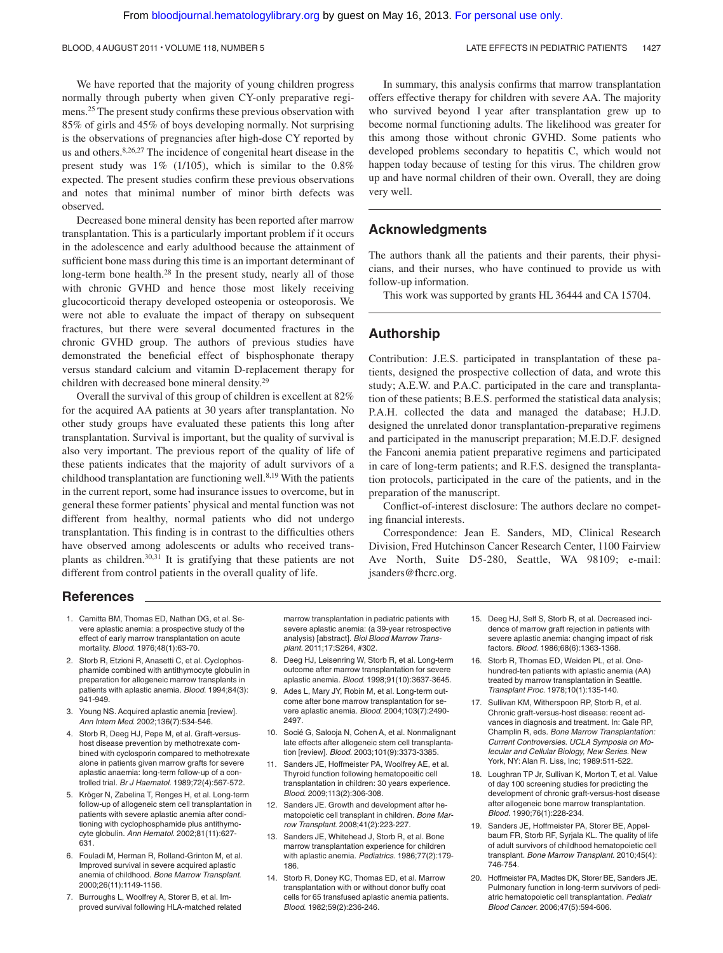We have reported that the majority of young children progress normally through puberty when given CY-only preparative regimens.25 The present study confirms these previous observation with 85% of girls and 45% of boys developing normally. Not surprising is the observations of pregnancies after high-dose CY reported by us and others.8,26,27 The incidence of congenital heart disease in the present study was 1% (1/105), which is similar to the 0.8% expected. The present studies confirm these previous observations and notes that minimal number of minor birth defects was observed.

Decreased bone mineral density has been reported after marrow transplantation. This is a particularly important problem if it occurs in the adolescence and early adulthood because the attainment of sufficient bone mass during this time is an important determinant of long-term bone health.28 In the present study, nearly all of those with chronic GVHD and hence those most likely receiving glucocorticoid therapy developed osteopenia or osteoporosis. We were not able to evaluate the impact of therapy on subsequent fractures, but there were several documented fractures in the chronic GVHD group. The authors of previous studies have demonstrated the beneficial effect of bisphosphonate therapy versus standard calcium and vitamin D-replacement therapy for children with decreased bone mineral density.29

Overall the survival of this group of children is excellent at 82% for the acquired AA patients at 30 years after transplantation. No other study groups have evaluated these patients this long after transplantation. Survival is important, but the quality of survival is also very important. The previous report of the quality of life of these patients indicates that the majority of adult survivors of a childhood transplantation are functioning well. $8,19$  With the patients in the current report, some had insurance issues to overcome, but in general these former patients' physical and mental function was not different from healthy, normal patients who did not undergo transplantation. This finding is in contrast to the difficulties others have observed among adolescents or adults who received transplants as children.30,31 It is gratifying that these patients are not different from control patients in the overall quality of life.

In summary, this analysis confirms that marrow transplantation offers effective therapy for children with severe AA. The majority who survived beyond 1 year after transplantation grew up to become normal functioning adults. The likelihood was greater for this among those without chronic GVHD. Some patients who developed problems secondary to hepatitis C, which would not happen today because of testing for this virus. The children grow up and have normal children of their own. Overall, they are doing very well.

# **Acknowledgments**

The authors thank all the patients and their parents, their physicians, and their nurses, who have continued to provide us with follow-up information.

This work was supported by grants HL 36444 and CA 15704.

# **Authorship**

Contribution: J.E.S. participated in transplantation of these patients, designed the prospective collection of data, and wrote this study; A.E.W. and P.A.C. participated in the care and transplantation of these patients; B.E.S. performed the statistical data analysis; P.A.H. collected the data and managed the database; H.J.D. designed the unrelated donor transplantation-preparative regimens and participated in the manuscript preparation; M.E.D.F. designed the Fanconi anemia patient preparative regimens and participated in care of long-term patients; and R.F.S. designed the transplantation protocols, participated in the care of the patients, and in the preparation of the manuscript.

Conflict-of-interest disclosure: The authors declare no competing financial interests.

Correspondence: Jean E. Sanders, MD, Clinical Research Division, Fred Hutchinson Cancer Research Center, 1100 Fairview Ave North, Suite D5-280, Seattle, WA 98109; e-mail: jsanders@fhcrc.org.

## **References**

- 1. Camitta BM, Thomas ED, Nathan DG, et al. Severe aplastic anemia: a prospective study of the effect of early marrow transplantation on acute mortality. *Blood*. 1976;48(1):63-70.
- 2. Storb R, Etzioni R, Anasetti C, et al. Cyclophosphamide combined with antithymocyte globulin in preparation for allogeneic marrow transplants in patients with aplastic anemia. *Blood*. 1994;84(3): 941-949.
- 3. Young NS. Acquired aplastic anemia [review]. *Ann Intern Med*. 2002;136(7):534-546.
- 4. Storb R, Deeg HJ, Pepe M, et al. Graft-versushost disease prevention by methotrexate combined with cyclosporin compared to methotrexate alone in patients given marrow grafts for severe aplastic anaemia: long-term follow-up of a controlled trial. *Br J Haematol*. 1989;72(4):567-572.
- 5. Kröger N, Zabelina T, Renges H, et al. Long-term follow-up of allogeneic stem cell transplantation in patients with severe aplastic anemia after conditioning with cyclophosphamide plus antithymocyte globulin. *Ann Hematol*. 2002;81(11):627- 631.
- 6. Fouladi M, Herman R, Rolland-Grinton M, et al. Improved survival in severe acquired aplastic anemia of childhood. *Bone Marrow Transplant*. 2000;26(11):1149-1156.
- 7. Burroughs L, Woolfrey A, Storer B, et al. Improved survival following HLA-matched related

marrow transplantation in pediatric patients with severe aplastic anemia: (a 39-year retrospective analysis) [abstract]. *Biol Blood Marrow Transplant.* 2011;17:S264, #302.

- 8. Deeg HJ, Leisenring W, Storb R, et al. Long-term outcome after marrow transplantation for severe aplastic anemia. *Blood*. 1998;91(10):3637-3645.
- 9. Ades L, Mary JY, Robin M, et al. Long-term outcome after bone marrow transplantation for severe aplastic anemia. *Blood*. 2004;103(7):2490- 2497.
- 10. Socié G, Salooja N, Cohen A, et al. Nonmalignant late effects after allogeneic stem cell transplantation [review]. *Blood*. 2003;101(9):3373-3385.
- 11. Sanders JE, Hoffmeister PA, Woolfrey AE, et al. Thyroid function following hematopoeitic cell transplantation in children: 30 years experience. *Blood*. 2009;113(2):306-308.
- 12. Sanders JE. Growth and development after hematopoietic cell transplant in children. *Bone Marrow Transplant*. 2008;41(2):223-227.
- 13. Sanders JE, Whitehead J, Storb R, et al. Bone marrow transplantation experience for children with aplastic anemia. *Pediatrics*. 1986;77(2):179- 186.
- 14. Storb R, Doney KC, Thomas ED, et al. Marrow transplantation with or without donor buffy coat cells for 65 transfused aplastic anemia patients. *Blood*. 1982;59(2):236-246.
- 15. Deeg HJ, Self S, Storb R, et al. Decreased incidence of marrow graft rejection in patients with severe aplastic anemia: changing impact of risk factors. *Blood*. 1986;68(6):1363-1368.
- 16. Storb R, Thomas ED, Weiden PL, et al. Onehundred-ten patients with aplastic anemia (AA) treated by marrow transplantation in Seattle. *Transplant Proc*. 1978;10(1):135-140.
- 17. Sullivan KM, Witherspoon RP, Storb R, et al. Chronic graft-versus-host disease: recent advances in diagnosis and treatment. In: Gale RP, Champlin R, eds. *Bone Marrow Transplantation: Current Controversies*. *UCLA Symposia on Molecular and Cellular Biology, New Series*. New York, NY: Alan R. Liss, Inc; 1989:511-522.
- 18. Loughran TP Jr, Sullivan K, Morton T, et al. Value of day 100 screening studies for predicting the development of chronic graft-versus-host disease after allogeneic bone marrow transplantation. *Blood*. 1990;76(1):228-234.
- 19. Sanders JE, Hoffmeister PA, Storer BE, Appelbaum FR, Storb RF, Syrjala KL. The quality of life of adult survivors of childhood hematopoietic cell transplant. *Bone Marrow Transplant*. 2010;45(4): 746-754.
- 20. Hoffmeister PA, Madtes DK, Storer BE, Sanders JE. Pulmonary function in long-term survivors of pediatric hematopoietic cell transplantation. *Pediatr Blood Cancer*. 2006;47(5):594-606.